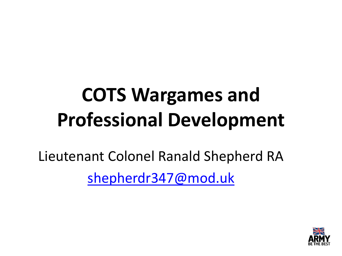## **COTS Wargames and Professional Development**

Lieutenant Colonel Ranald Shepherd RA [shepherdr347@mod.uk](mailto:shepherdr347@mod.uk)

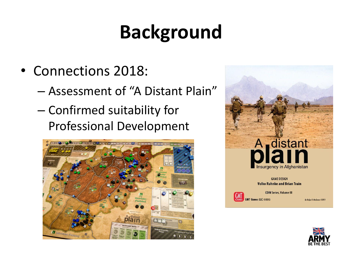### **Background**

- Connections 2018:
	- Assessment of "A Distant Plain"
	- Confirmed suitability for Professional Development





**GAME DESIGN Volko Ruhnke and Brian Train** 



**COIN Series, Volume III GMT Games LLC @2013** 

By Rodger B. MacGowan ©2013

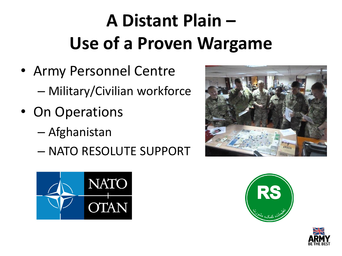### **A Distant Plain – Use of a Proven Wargame**

- Army Personnel Centre – Military/Civilian workforce
- On Operations
	- Afghanistan
	- NATO RESOLUTE SUPPORT







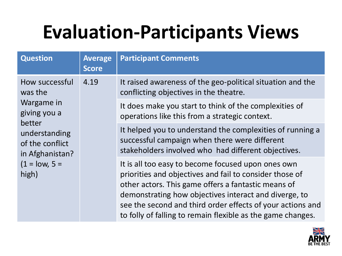### **Evaluation-Participants Views**

| <b>Question</b>                                                                                                                                      | <b>Average</b><br><b>Score</b> | <b>Participant Comments</b>                                                                                                                                                                                                                                                                                                                                |
|------------------------------------------------------------------------------------------------------------------------------------------------------|--------------------------------|------------------------------------------------------------------------------------------------------------------------------------------------------------------------------------------------------------------------------------------------------------------------------------------------------------------------------------------------------------|
| How successful<br>was the<br>Wargame in<br>giving you a<br>better<br>understanding<br>of the conflict<br>in Afghanistan?<br>$(1 = low, 5 =$<br>high) | 4.19                           | It raised awareness of the geo-political situation and the<br>conflicting objectives in the theatre.                                                                                                                                                                                                                                                       |
|                                                                                                                                                      |                                | It does make you start to think of the complexities of<br>operations like this from a strategic context.                                                                                                                                                                                                                                                   |
|                                                                                                                                                      |                                | It helped you to understand the complexities of running a<br>successful campaign when there were different<br>stakeholders involved who had different objectives.                                                                                                                                                                                          |
|                                                                                                                                                      |                                | It is all too easy to become focused upon ones own<br>priorities and objectives and fail to consider those of<br>other actors. This game offers a fantastic means of<br>demonstrating how objectives interact and diverge, to<br>see the second and third order effects of your actions and<br>to folly of falling to remain flexible as the game changes. |

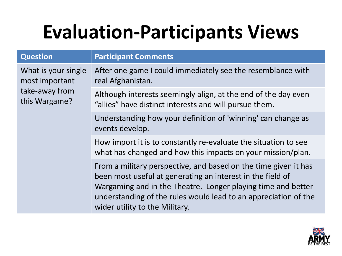### **Evaluation-Participants Views**

| <b>Question</b>                                                          | <b>Participant Comments</b>                                                                                                                                                                                                                                                                        |
|--------------------------------------------------------------------------|----------------------------------------------------------------------------------------------------------------------------------------------------------------------------------------------------------------------------------------------------------------------------------------------------|
| What is your single<br>most important<br>take-away from<br>this Wargame? | After one game I could immediately see the resemblance with<br>real Afghanistan.                                                                                                                                                                                                                   |
|                                                                          | Although interests seemingly align, at the end of the day even<br>"allies" have distinct interests and will pursue them.                                                                                                                                                                           |
|                                                                          | Understanding how your definition of 'winning' can change as<br>events develop.                                                                                                                                                                                                                    |
|                                                                          | How import it is to constantly re-evaluate the situation to see<br>what has changed and how this impacts on your mission/plan.                                                                                                                                                                     |
|                                                                          | From a military perspective, and based on the time given it has<br>been most useful at generating an interest in the field of<br>Wargaming and in the Theatre. Longer playing time and better<br>understanding of the rules would lead to an appreciation of the<br>wider utility to the Military. |

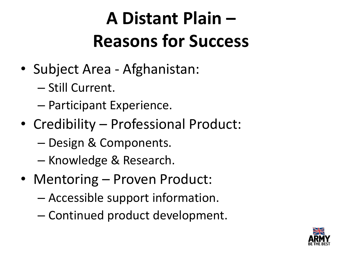#### **A Distant Plain – Reasons for Success**

- Subject Area Afghanistan:
	- Still Current.
	- Participant Experience.
- Credibility Professional Product:
	- Design & Components.
	- Knowledge & Research.
- Mentoring Proven Product:
	- Accessible support information.
	- Continued product development.

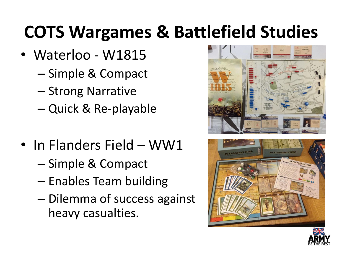#### **COTS Wargames & Battlefield Studies**

- Waterloo W1815
	- Simple & Compact
	- Strong Narrative
	- Quick & Re-playable
- In Flanders Field WW1
	- Simple & Compact
	- Enables Team building
	- Dilemma of success against heavy casualties.